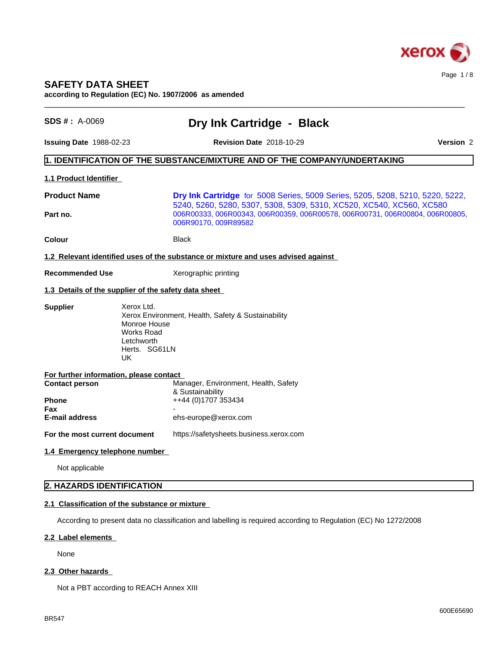

# **SAFETY DATA SHEET**

**according to Regulation (EC) No. 1907/2006 as amended**

| $SDS #: A-0069$                                                       | Dry Ink Cartridge - Black                                                                                                                                                                                                                                     |                  |  |  |
|-----------------------------------------------------------------------|---------------------------------------------------------------------------------------------------------------------------------------------------------------------------------------------------------------------------------------------------------------|------------------|--|--|
| <b>Issuing Date 1988-02-23</b>                                        | <b>Revision Date 2018-10-29</b>                                                                                                                                                                                                                               | <b>Version 2</b> |  |  |
|                                                                       | $\vert$ 1. IDENTIFICATION OF THE SUBSTANCE/MIXTURE AND OF THE COMPANY/UNDERTAKING                                                                                                                                                                             |                  |  |  |
| 1.1 Product Identifier                                                |                                                                                                                                                                                                                                                               |                  |  |  |
| <b>Product Name</b><br>Part no.                                       | Dry Ink Cartridge for 5008 Series, 5009 Series, 5205, 5208, 5210, 5220, 5222,<br>5240, 5260, 5280, 5307, 5308, 5309, 5310, XC520, XC540, XC560, XC580<br>006R00333, 006R00343, 006R00359, 006R00578, 006R00731, 006R00804, 006R00805,<br>006R90170, 009R89582 |                  |  |  |
| Colour                                                                | Black                                                                                                                                                                                                                                                         |                  |  |  |
|                                                                       | 1.2 Relevant identified uses of the substance or mixture and uses advised against                                                                                                                                                                             |                  |  |  |
| <b>Recommended Use</b>                                                | Xerographic printing                                                                                                                                                                                                                                          |                  |  |  |
| 1.3 Details of the supplier of the safety data sheet                  |                                                                                                                                                                                                                                                               |                  |  |  |
| Xerox Ltd.<br><b>Supplier</b><br>Letchworth<br>UK.                    | Xerox Environment, Health, Safety & Sustainability<br>Monroe House<br><b>Works Road</b><br>Herts. SG61LN                                                                                                                                                      |                  |  |  |
| For further information, please contact                               |                                                                                                                                                                                                                                                               |                  |  |  |
| <b>Contact person</b><br><b>Phone</b><br>Fax<br><b>E-mail address</b> | Manager, Environment, Health, Safety<br>& Sustainability<br>++44 (0)1707 353434<br>ehs-europe@xerox.com                                                                                                                                                       |                  |  |  |
| For the most current document                                         | https://safetysheets.business.xerox.com                                                                                                                                                                                                                       |                  |  |  |
| 1.4 Emergency telephone number                                        |                                                                                                                                                                                                                                                               |                  |  |  |
| Not applicable                                                        |                                                                                                                                                                                                                                                               |                  |  |  |
| 2. HAZARDS IDENTIFICATION                                             |                                                                                                                                                                                                                                                               |                  |  |  |
| 2.1 Classification of the substance or mixture                        |                                                                                                                                                                                                                                                               |                  |  |  |
|                                                                       | According to present data no classification and labelling is required according to Regulation (EC) No 1272/2008                                                                                                                                               |                  |  |  |
| 2.2 Label elements                                                    |                                                                                                                                                                                                                                                               |                  |  |  |

None

# 2.3 Other hazards

Not a PBT according to REACH Annex XIII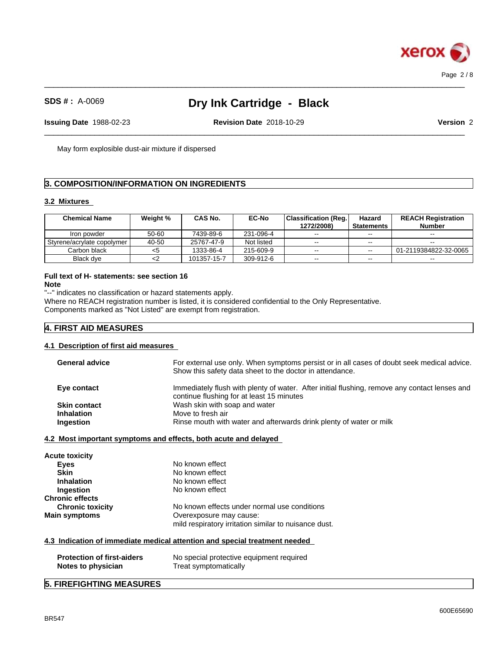

 $\_$  ,  $\_$  ,  $\_$  ,  $\_$  ,  $\_$  ,  $\_$  ,  $\_$  ,  $\_$  ,  $\_$  ,  $\_$  ,  $\_$  ,  $\_$  ,  $\_$  ,  $\_$  ,  $\_$  ,  $\_$  ,  $\_$  ,  $\_$  ,  $\_$  ,  $\_$  ,  $\_$  ,  $\_$  ,  $\_$  ,  $\_$  ,  $\_$  ,  $\_$  ,  $\_$  ,  $\_$  ,  $\_$  ,  $\_$  ,  $\_$  ,  $\_$  ,  $\_$  ,  $\_$  ,  $\_$  ,  $\_$  ,  $\_$  ,

 $\_$  ,  $\_$  ,  $\_$  ,  $\_$  ,  $\_$  ,  $\_$  ,  $\_$  ,  $\_$  ,  $\_$  ,  $\_$  ,  $\_$  ,  $\_$  ,  $\_$  ,  $\_$  ,  $\_$  ,  $\_$  ,  $\_$  ,  $\_$  ,  $\_$  ,  $\_$  ,  $\_$  ,  $\_$  ,  $\_$  ,  $\_$  ,  $\_$  ,  $\_$  ,  $\_$  ,  $\_$  ,  $\_$  ,  $\_$  ,  $\_$  ,  $\_$  ,  $\_$  ,  $\_$  ,  $\_$  ,  $\_$  ,  $\_$  ,

**Issuing Date** 1988-02-23 **Revision Date** 2018-10-29 **Version** 2

May form explosible dust-air mixture if dispersed

## **3. COMPOSITION/INFORMATION ON INGREDIENTS**

#### **3.2 Mixtures**

| <b>Chemical Name</b>         | Weight % | <b>CAS No.</b> | <b>EC-No</b> | Classification (Req.<br>1272/2008) | Hazard<br>Statements | <b>REACH Registration</b><br><b>Number</b> |
|------------------------------|----------|----------------|--------------|------------------------------------|----------------------|--------------------------------------------|
| Iron powder                  | 50-60    | 7439-89-6      | 231-096-4    | $- -$                              | $- -$                | $\sim$ $\sim$                              |
| Styrene/acrylate copolymer I | 40-50    | 25767-47-9     | Not listed   | $\sim$ $\sim$                      | $- -$                | $\sim$                                     |
| Carbon black                 |          | 1333-86-4      | 215-609-9    | $\sim$ $\sim$                      | $- -$                | 01-2119384822-32-0065                      |
| Black dve                    |          | 101357-15-7    | 309-912-6    | $- -$                              | --                   | $\sim$ $\sim$                              |

## **Full text of H- statements: see section 16**

**Note**

"--" indicates no classification or hazard statements apply. Where no REACH registration number is listed, it is considered confidential to the Only Representative. Components marked as "Not Listed" are exempt from registration.

## **4. FIRST AID MEASURES**

#### **4.1 Description of first aid measures**

| <b>General advice</b> | For external use only. When symptoms persist or in all cases of doubt seek medical advice.<br>Show this safety data sheet to the doctor in attendance. |
|-----------------------|--------------------------------------------------------------------------------------------------------------------------------------------------------|
| Eye contact           | Immediately flush with plenty of water. After initial flushing, remove any contact lenses and<br>continue flushing for at least 15 minutes             |
| <b>Skin contact</b>   | Wash skin with soap and water                                                                                                                          |
| <b>Inhalation</b>     | Move to fresh air                                                                                                                                      |
| Ingestion             | Rinse mouth with water and afterwards drink plenty of water or milk                                                                                    |
|                       |                                                                                                                                                        |

### **4.2 Most important symptoms and effects, both acute and delayed**

| <b>Acute toxicity</b>   |                                                       |
|-------------------------|-------------------------------------------------------|
| Eyes                    | No known effect                                       |
| <b>Skin</b>             | No known effect                                       |
| <b>Inhalation</b>       | No known effect                                       |
| Ingestion               | No known effect                                       |
| <b>Chronic effects</b>  |                                                       |
| <b>Chronic toxicity</b> | No known effects under normal use conditions          |
| <b>Main symptoms</b>    | Overexposure may cause:                               |
|                         | mild respiratory irritation similar to nuisance dust. |
|                         |                                                       |

#### **4.3 Indication of immediate medical attention and special treatment needed**

| <b>Protection of first-aiders</b> | No special protective equipment required |
|-----------------------------------|------------------------------------------|
| Notes to physician                | Treat symptomatically                    |

# **5. FIREFIGHTING MEASURES**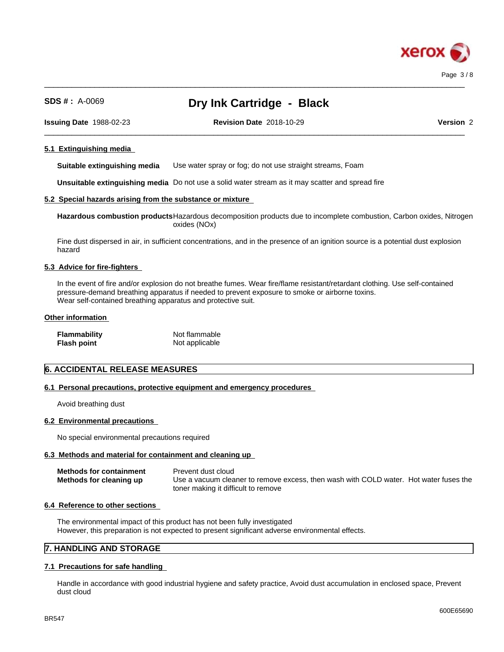

 $\_$  ,  $\_$  ,  $\_$  ,  $\_$  ,  $\_$  ,  $\_$  ,  $\_$  ,  $\_$  ,  $\_$  ,  $\_$  ,  $\_$  ,  $\_$  ,  $\_$  ,  $\_$  ,  $\_$  ,  $\_$  ,  $\_$  ,  $\_$  ,  $\_$  ,  $\_$  ,  $\_$  ,  $\_$  ,  $\_$  ,  $\_$  ,  $\_$  ,  $\_$  ,  $\_$  ,  $\_$  ,  $\_$  ,  $\_$  ,  $\_$  ,  $\_$  ,  $\_$  ,  $\_$  ,  $\_$  ,  $\_$  ,  $\_$  ,

 $\_$  ,  $\_$  ,  $\_$  ,  $\_$  ,  $\_$  ,  $\_$  ,  $\_$  ,  $\_$  ,  $\_$  ,  $\_$  ,  $\_$  ,  $\_$  ,  $\_$  ,  $\_$  ,  $\_$  ,  $\_$  ,  $\_$  ,  $\_$  ,  $\_$  ,  $\_$  ,  $\_$  ,  $\_$  ,  $\_$  ,  $\_$  ,  $\_$  ,  $\_$  ,  $\_$  ,  $\_$  ,  $\_$  ,  $\_$  ,  $\_$  ,  $\_$  ,  $\_$  ,  $\_$  ,  $\_$  ,  $\_$  ,  $\_$  ,

**Issuing Date** 1988-02-23 **Revision Date** 2018-10-29 **Version** 2

#### **5.1 Extinguishing media**

**Suitable extinguishing media** Use water spray or fog; do not use straight streams, Foam

**Unsuitable extinguishing media** Do not use a solid water stream as it may scatterand spread fire

#### **5.2 Special hazards arising from the substance or mixture**

**Hazardous combustion products**Hazardous decomposition products due to incomplete combustion, Carbon oxides, Nitrogen oxides (NOx)

Fine dust dispersed in air, in sufficient concentrations, and in the presence of an ignition source is a potential dust explosion hazard

#### **5.3 Advice for fire-fighters**

In the event of fire and/or explosion do not breathe fumes. Wear fire/flame resistant/retardant clothing. Use self-contained pressure-demand breathing apparatus if needed to prevent exposure to smoke or airborne toxins. Wear self-contained breathing apparatus and protective suit.

#### **Other information**

| <b>Flammability</b> | Not flammable  |
|---------------------|----------------|
| <b>Flash point</b>  | Not applicable |

## **6. ACCIDENTAL RELEASE MEASURES**

#### **6.1 Personal precautions, protective equipment and emergency procedures**

Avoid breathing dust

#### **6.2 Environmental precautions**

No special environmental precautions required

#### **6.3 Methods and material for containment and cleaning up**

| <b>Methods for containment</b> | Prevent dust cloud                                                                    |
|--------------------------------|---------------------------------------------------------------------------------------|
| Methods for cleaning up        | Use a vacuum cleaner to remove excess, then wash with COLD water. Hot water fuses the |
|                                | toner making it difficult to remove                                                   |

#### **6.4 Reference to other sections**

The environmental impact of this product has not been fully investigated However, this preparation is not expected to present significant adverse environmental effects.

## **7. HANDLING AND STORAGE**

#### **7.1 Precautions for safe handling**

Handle in accordance with good industrial hygiene and safety practice, Avoid dust accumulation in enclosed space, Prevent dust cloud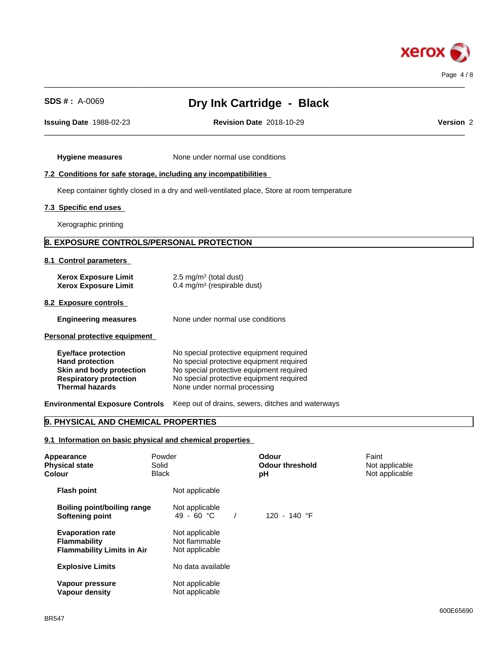

 $\_$  ,  $\_$  ,  $\_$  ,  $\_$  ,  $\_$  ,  $\_$  ,  $\_$  ,  $\_$  ,  $\_$  ,  $\_$  ,  $\_$  ,  $\_$  ,  $\_$  ,  $\_$  ,  $\_$  ,  $\_$  ,  $\_$  ,  $\_$  ,  $\_$  ,  $\_$  ,  $\_$  ,  $\_$  ,  $\_$  ,  $\_$  ,  $\_$  ,  $\_$  ,  $\_$  ,  $\_$  ,  $\_$  ,  $\_$  ,  $\_$  ,  $\_$  ,  $\_$  ,  $\_$  ,  $\_$  ,  $\_$  ,  $\_$  ,

 $\_$  ,  $\_$  ,  $\_$  ,  $\_$  ,  $\_$  ,  $\_$  ,  $\_$  ,  $\_$  ,  $\_$  ,  $\_$  ,  $\_$  ,  $\_$  ,  $\_$  ,  $\_$  ,  $\_$  ,  $\_$  ,  $\_$  ,  $\_$  ,  $\_$  ,  $\_$  ,  $\_$  ,  $\_$  ,  $\_$  ,  $\_$  ,  $\_$  ,  $\_$  ,  $\_$  ,  $\_$  ,  $\_$  ,  $\_$  ,  $\_$  ,  $\_$  ,  $\_$  ,  $\_$  ,  $\_$  ,  $\_$  ,  $\_$  ,

**Issuing Date** 1988-02-23 **Revision Date** 2018-10-29 **Version** 2

**Hygiene measures** None under normal use conditions

# **7.2 Conditions for safe storage, including any incompatibilities**

Keep container tightly closed in a dry and well-ventilated place, Store at room temperature

## **7.3 Specific end uses**

Xerographic printing

## **8. EXPOSURE CONTROLS/PERSONAL PROTECTION**

#### **8.1 Control parameters**

| <b>Xerox Exposure Limit</b><br><b>Xerox Exposure Limit</b>                                                                                  | $2.5 \text{ mg/m}^3$ (total dust)<br>0.4 mg/m <sup>3</sup> (respirable dust)                                                                                                                                 |
|---------------------------------------------------------------------------------------------------------------------------------------------|--------------------------------------------------------------------------------------------------------------------------------------------------------------------------------------------------------------|
| 8.2 Exposure controls                                                                                                                       |                                                                                                                                                                                                              |
| <b>Engineering measures</b>                                                                                                                 | None under normal use conditions                                                                                                                                                                             |
| Personal protective equipment                                                                                                               |                                                                                                                                                                                                              |
| <b>Eye/face protection</b><br><b>Hand protection</b><br>Skin and body protection<br><b>Respiratory protection</b><br><b>Thermal hazards</b> | No special protective equipment required<br>No special protective equipment required<br>No special protective equipment required<br>No special protective equipment required<br>None under normal processing |
|                                                                                                                                             |                                                                                                                                                                                                              |

**Environmental Exposure Controls** Keep out of drains, sewers, ditches and waterways

## **9. PHYSICAL AND CHEMICAL PROPERTIES**

### **9.1 Information on basic physical and chemical properties**

| Appearance<br><b>Physical state</b><br>Colour                                       | Powder<br>Solid<br><b>Black</b>                   | <b>Odour</b><br><b>Odour threshold</b><br>рH | Faint<br>Not applicable<br>Not applicable |  |
|-------------------------------------------------------------------------------------|---------------------------------------------------|----------------------------------------------|-------------------------------------------|--|
| <b>Flash point</b>                                                                  | Not applicable                                    |                                              |                                           |  |
| Boiling point/boiling range<br>Softening point                                      | Not applicable<br>49 - 60 °C                      | 120 - 140 °F                                 |                                           |  |
| <b>Evaporation rate</b><br><b>Flammability</b><br><b>Flammability Limits in Air</b> | Not applicable<br>Not flammable<br>Not applicable |                                              |                                           |  |
| <b>Explosive Limits</b>                                                             | No data available                                 |                                              |                                           |  |
| Vapour pressure<br>Vapour density                                                   | Not applicable<br>Not applicable                  |                                              |                                           |  |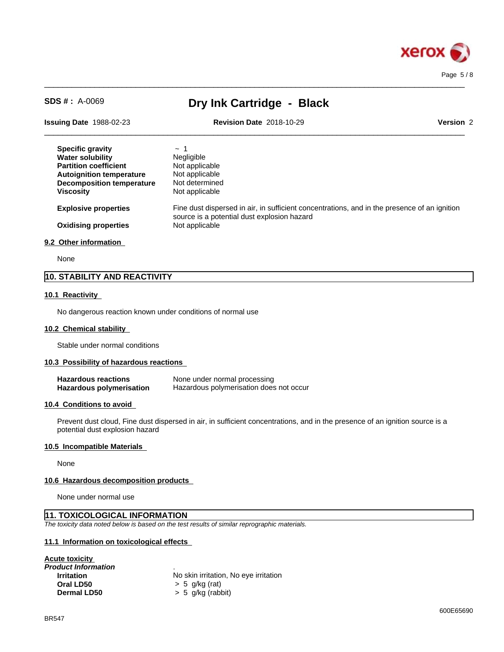

 $\_$  ,  $\_$  ,  $\_$  ,  $\_$  ,  $\_$  ,  $\_$  ,  $\_$  ,  $\_$  ,  $\_$  ,  $\_$  ,  $\_$  ,  $\_$  ,  $\_$  ,  $\_$  ,  $\_$  ,  $\_$  ,  $\_$  ,  $\_$  ,  $\_$  ,  $\_$  ,  $\_$  ,  $\_$  ,  $\_$  ,  $\_$  ,  $\_$  ,  $\_$  ,  $\_$  ,  $\_$  ,  $\_$  ,  $\_$  ,  $\_$  ,  $\_$  ,  $\_$  ,  $\_$  ,  $\_$  ,  $\_$  ,  $\_$  ,

 $\_$  ,  $\_$  ,  $\_$  ,  $\_$  ,  $\_$  ,  $\_$  ,  $\_$  ,  $\_$  ,  $\_$  ,  $\_$  ,  $\_$  ,  $\_$  ,  $\_$  ,  $\_$  ,  $\_$  ,  $\_$  ,  $\_$  ,  $\_$  ,  $\_$  ,  $\_$  ,  $\_$  ,  $\_$  ,  $\_$  ,  $\_$  ,  $\_$  ,  $\_$  ,  $\_$  ,  $\_$  ,  $\_$  ,  $\_$  ,  $\_$  ,  $\_$  ,  $\_$  ,  $\_$  ,  $\_$  ,  $\_$  ,  $\_$  , **Issuing Date** 1988-02-23 **Revision Date** 2018-10-29 **Version** 2 **Specific gravity**  $\sim 1$ **Water solubility** Negligible **Partition coefficient** Not applicable **Autoignition temperature** Not applicable<br>**Decomposition temperature** Not determined **Decomposition temperature Viscosity** Not applicable **Explosive properties** Fine dust dispersed in air, in sufficient concentrations, and in the presence of an ignition source is a potential dust explosion hazard **Oxidising properties** Not applicable

#### **9.2 Other information**

None

## **10. STABILITY AND REACTIVITY**

#### **10.1 Reactivity**

No dangerous reaction known under conditions of normal use

#### **10.2 Chemical stability**

Stable under normal conditions

#### **10.3 Possibility of hazardous reactions**

| <b>Hazardous reactions</b> | None under normal processing            |
|----------------------------|-----------------------------------------|
| Hazardous polymerisation   | Hazardous polymerisation does not occur |

#### **10.4 Conditions to avoid**

Prevent dust cloud, Fine dust dispersed in air, in sufficient concentrations, and in the presence of an ignition source is a potential dust explosion hazard

#### **10.5 Incompatible Materials**

None

#### **10.6 Hazardous decomposition products**

None under normal use

#### **11. TOXICOLOGICAL INFORMATION**

*The toxicity data noted below is based on the test results of similar reprographic materials.*

#### **11.1 Information on toxicologicaleffects**

| No skin irritation, No eye irritation |  |
|---------------------------------------|--|
| $> 5$ q/kg (rat)                      |  |
| $> 5$ g/kg (rabbit)                   |  |
|                                       |  |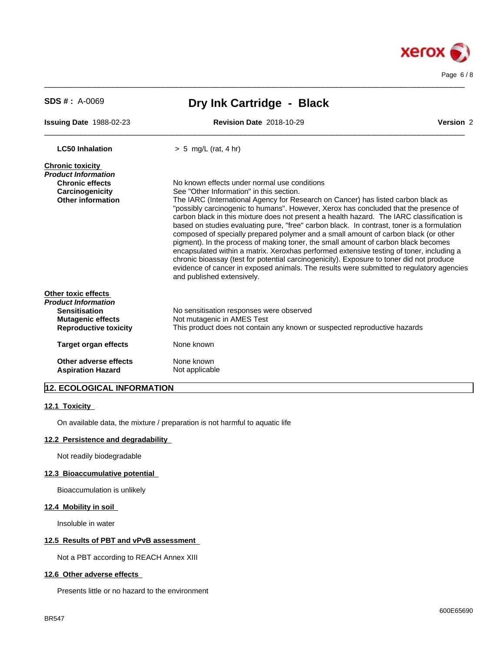

| $SDS # : A-0069$                                                                                                                                              | Dry Ink Cartridge - Black                                                                                                                                                                                                                                                                                                                                                                                                                                                                                                                                                                                                                                                                                                                                                                                                                                                                                                                                       |           |  |  |  |
|---------------------------------------------------------------------------------------------------------------------------------------------------------------|-----------------------------------------------------------------------------------------------------------------------------------------------------------------------------------------------------------------------------------------------------------------------------------------------------------------------------------------------------------------------------------------------------------------------------------------------------------------------------------------------------------------------------------------------------------------------------------------------------------------------------------------------------------------------------------------------------------------------------------------------------------------------------------------------------------------------------------------------------------------------------------------------------------------------------------------------------------------|-----------|--|--|--|
| Issuing Date 1988-02-23                                                                                                                                       | <b>Revision Date 2018-10-29</b>                                                                                                                                                                                                                                                                                                                                                                                                                                                                                                                                                                                                                                                                                                                                                                                                                                                                                                                                 | Version 2 |  |  |  |
| <b>LC50 Inhalation</b>                                                                                                                                        | $> 5$ mg/L (rat, 4 hr)                                                                                                                                                                                                                                                                                                                                                                                                                                                                                                                                                                                                                                                                                                                                                                                                                                                                                                                                          |           |  |  |  |
| <b>Chronic toxicity</b><br>Product Information<br><b>Chronic effects</b><br>Carcinogenicity<br><b>Other information</b>                                       | No known effects under normal use conditions<br>See "Other Information" in this section.<br>The IARC (International Agency for Research on Cancer) has listed carbon black as<br>"possibly carcinogenic to humans". However, Xerox has concluded that the presence of<br>carbon black in this mixture does not present a health hazard. The IARC classification is<br>based on studies evaluating pure, "free" carbon black. In contrast, toner is a formulation<br>composed of specially prepared polymer and a small amount of carbon black (or other<br>pigment). In the process of making toner, the small amount of carbon black becomes<br>encapsulated within a matrix. Xeroxhas performed extensive testing of toner, including a<br>chronic bioassay (test for potential carcinogenicity). Exposure to toner did not produce<br>evidence of cancer in exposed animals. The results were submitted to regulatory agencies<br>and published extensively. |           |  |  |  |
| Other toxic effects<br>Product Information<br><b>Sensitisation</b><br><b>Mutagenic effects</b><br><b>Reproductive toxicity</b><br><b>Target organ effects</b> | No sensitisation responses were observed<br>Not mutagenic in AMES Test<br>This product does not contain any known or suspected reproductive hazards<br>None known                                                                                                                                                                                                                                                                                                                                                                                                                                                                                                                                                                                                                                                                                                                                                                                               |           |  |  |  |
| Other adverse effects<br><b>Aspiration Hazard</b>                                                                                                             | None known<br>Not applicable                                                                                                                                                                                                                                                                                                                                                                                                                                                                                                                                                                                                                                                                                                                                                                                                                                                                                                                                    |           |  |  |  |

 $\_$  ,  $\_$  ,  $\_$  ,  $\_$  ,  $\_$  ,  $\_$  ,  $\_$  ,  $\_$  ,  $\_$  ,  $\_$  ,  $\_$  ,  $\_$  ,  $\_$  ,  $\_$  ,  $\_$  ,  $\_$  ,  $\_$  ,  $\_$  ,  $\_$  ,  $\_$  ,  $\_$  ,  $\_$  ,  $\_$  ,  $\_$  ,  $\_$  ,  $\_$  ,  $\_$  ,  $\_$  ,  $\_$  ,  $\_$  ,  $\_$  ,  $\_$  ,  $\_$  ,  $\_$  ,  $\_$  ,  $\_$  ,  $\_$  ,

# **12. ECOLOGICAL INFORMATION**

#### **12.1 Toxicity**

On available data, the mixture / preparation is not harmful to aquatic life

### **12.2 Persistence and degradability**

Not readily biodegradable

#### **12.3 Bioaccumulative potential**

Bioaccumulation is unlikely

### **12.4 Mobility in soil**

Insoluble in water

#### **12.5 Results of PBT and vPvB assessment**

Not a PBT according to REACH Annex XIII

#### **12.6 Other adverse effects**

Presents little or no hazard to the environment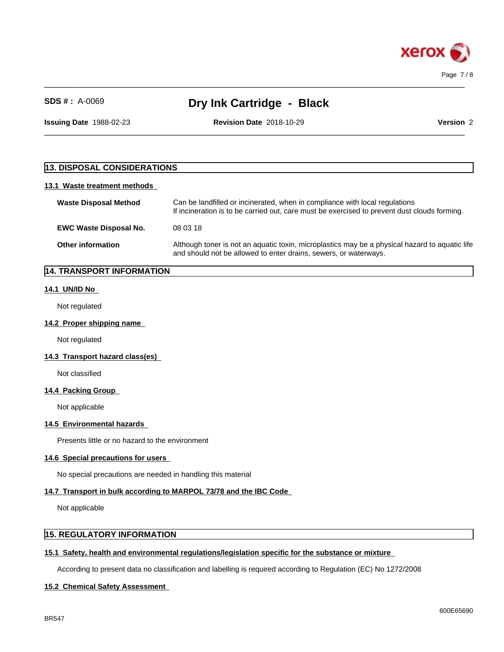

 $\_$  ,  $\_$  ,  $\_$  ,  $\_$  ,  $\_$  ,  $\_$  ,  $\_$  ,  $\_$  ,  $\_$  ,  $\_$  ,  $\_$  ,  $\_$  ,  $\_$  ,  $\_$  ,  $\_$  ,  $\_$  ,  $\_$  ,  $\_$  ,  $\_$  ,  $\_$  ,  $\_$  ,  $\_$  ,  $\_$  ,  $\_$  ,  $\_$  ,  $\_$  ,  $\_$  ,  $\_$  ,  $\_$  ,  $\_$  ,  $\_$  ,  $\_$  ,  $\_$  ,  $\_$  ,  $\_$  ,  $\_$  ,  $\_$  ,

**Issuing Date** 1988-02-23 **Revision Date** 2018-10-29 **Version** 2

 $\_$  ,  $\_$  ,  $\_$  ,  $\_$  ,  $\_$  ,  $\_$  ,  $\_$  ,  $\_$  ,  $\_$  ,  $\_$  ,  $\_$  ,  $\_$  ,  $\_$  ,  $\_$  ,  $\_$  ,  $\_$  ,  $\_$  ,  $\_$  ,  $\_$  ,  $\_$  ,  $\_$  ,  $\_$  ,  $\_$  ,  $\_$  ,  $\_$  ,  $\_$  ,  $\_$  ,  $\_$  ,  $\_$  ,  $\_$  ,  $\_$  ,  $\_$  ,  $\_$  ,  $\_$  ,  $\_$  ,  $\_$  ,  $\_$  ,

# **13. DISPOSAL CONSIDERATIONS**

### **13.1 Waste treatment methods**

| <b>Waste Disposal Method</b>  | Can be landfilled or incinerated, when in compliance with local regulations<br>If incineration is to be carried out, care must be exercised to prevent dust clouds forming. |
|-------------------------------|-----------------------------------------------------------------------------------------------------------------------------------------------------------------------------|
| <b>EWC Waste Disposal No.</b> | 08 03 18                                                                                                                                                                    |
| <b>Other information</b>      | Although toner is not an aquatic toxin, microplastics may be a physical hazard to aquatic life<br>and should not be allowed to enter drains, sewers, or waterways.          |

# **14. TRANSPORT INFORMATION**

#### **14.1 UN/ID No**

Not regulated

#### **14.2 Proper shipping name**

Not regulated

### **14.3 Transport hazard class(es)**

Not classified

#### **14.4 Packing Group**

Not applicable

#### **14.5 Environmental hazards**

Presents little or no hazard to the environment

## **14.6 Special precautions for users**

No special precautions are needed in handling this material

#### **14.7 Transport in bulk according to MARPOL 73/78 and the IBC Code**

Not applicable

## **15. REGULATORY INFORMATION**

## **15.1 Safety, health and environmental regulations/legislation specific for the substance or mixture**

According to present data no classification and labelling is required according to Regulation (EC) No 1272/2008

#### **15.2 Chemical Safety Assessment**